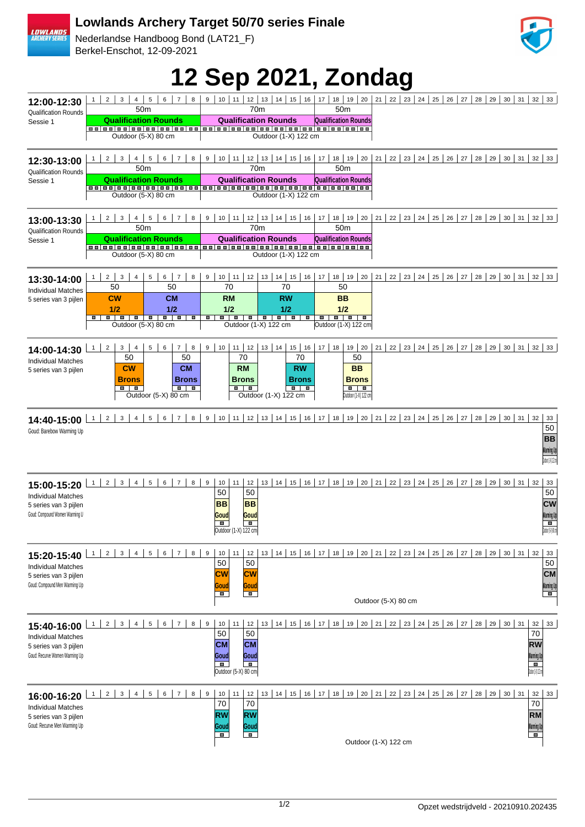## **Lowlands Archery Target 50/70 series Finale**

Nederlandse Handboog Bond (LAT21\_F) Berkel-Enschot, 12-09-2021



**12 Sep 2021, Zondag**

|                                                                   | 3                                                                                                                      | $\overline{7}$<br>8                                                  |                                                                 |                                                                  | 17                                | 21                                                                                                                           |
|-------------------------------------------------------------------|------------------------------------------------------------------------------------------------------------------------|----------------------------------------------------------------------|-----------------------------------------------------------------|------------------------------------------------------------------|-----------------------------------|------------------------------------------------------------------------------------------------------------------------------|
| 12:00-12:30                                                       | $\overline{2}$<br>$\mathbf{1}$<br>4<br>50 <sub>m</sub>                                                                 | $\sqrt{5}$<br>6                                                      | $10$ 11<br>12 <br>9                                             | 13<br>$14$ 15<br>16<br>70 <sub>m</sub>                           | 18<br>19<br>20<br>50 <sub>m</sub> | 22<br>$23 \mid 24 \mid 25 \mid$<br>26<br>27 <sup>1</sup><br>28<br>29<br>$30 \mid 31 \mid 32 \mid 33$                         |
| <b>Qualification Rounds</b>                                       | <b>Qualification Rounds</b>                                                                                            |                                                                      | <b>Qualification Rounds</b>                                     |                                                                  | <b>Qualification Rounds</b>       |                                                                                                                              |
| Sessie 1                                                          |                                                                                                                        |                                                                      |                                                                 |                                                                  |                                   |                                                                                                                              |
|                                                                   | Outdoor (5-X) 80 cm                                                                                                    |                                                                      |                                                                 | Outdoor (1-X) 122 cm                                             |                                   |                                                                                                                              |
| 12:30-13:00<br><b>Qualification Rounds</b><br>Sessie 1            | $1 \mid 2 \mid$<br>$\mathbf{3}$<br>$4 \mid$<br>50 <sub>m</sub>                                                         | 5 <sub>1</sub><br>$6 \mid 7$<br>8                                    |                                                                 | $9   10   11   12   13   14   15   16   17  $<br>70 <sub>m</sub> | 50 <sub>m</sub>                   | 18   19   20   21   22   23   24   25   26   27   28   29   30   31   32   33                                                |
|                                                                   | <b>Qualification Rounds</b><br>Outdoor (5-X) 80 cm                                                                     |                                                                      | <b>Qualification Rounds</b><br>Outdoor (1-X) 122 cm             |                                                                  | <b>Qualification Rounds</b>       |                                                                                                                              |
| 13:00-13:30<br>Qualification Rounds                               | $\overline{2}$<br>3<br>5 <sub>5</sub><br>6 <sup>1</sup><br>$\overline{7}$<br>$\mathbf{1}$<br>4<br>8<br>50 <sub>m</sub> |                                                                      | 10   11   12   13   14   15   16   17  <br>9<br>70 <sub>m</sub> |                                                                  | 50 <sub>m</sub>                   | 18   19   20   21   22   23   24   25   26   27   28   29   30   31   32   33                                                |
| Sessie 1                                                          | <b>Qualification Rounds</b>                                                                                            |                                                                      | <b>Qualification Rounds</b>                                     |                                                                  | <b>Qualification Rounds</b>       |                                                                                                                              |
|                                                                   | Outdoor (5-X) 80 cm                                                                                                    |                                                                      |                                                                 | Outdoor (1-X) 122 cm                                             |                                   |                                                                                                                              |
| 13:30-14:00<br><b>Individual Matches</b><br>5 series van 3 pijlen | 2 <sup>1</sup><br>$\mathbf{3}$<br>4<br>$1 \mid$<br>50                                                                  | 5 <sup>1</sup><br>$6-1$<br>$\overline{7}$<br>8<br>50                 | 9<br>70                                                         | $10$   11   12   13   14   15   16  <br>70                       | 17<br>50                          | 18   19   20   21   22   23   24   25   26   27   28   29   30   31   32   33                                                |
|                                                                   | <b>CW</b><br>1/2                                                                                                       | <b>CM</b><br>1/2                                                     | <b>RM</b><br>1/2                                                | <b>RW</b><br>1/2                                                 | <b>BB</b><br>1/2                  |                                                                                                                              |
|                                                                   | <b>.</b><br>Outdoor (5-X) 80 cm                                                                                        | <b>B B</b>                                                           |                                                                 | <b>.</b><br><b>III</b><br>Outdoor (1-X) 122 cm                   | Outdoor (1-X) 122 cm              |                                                                                                                              |
|                                                                   |                                                                                                                        |                                                                      |                                                                 |                                                                  |                                   |                                                                                                                              |
| 14:00-14:30                                                       | $\overline{2}$<br>3<br>1<br>4<br>50                                                                                    | 5 <sup>1</sup><br>6<br>$\overline{7}$<br>8<br>50                     | $10$   11   12   13   14  <br>9<br>70                           | $15$ 16<br>70                                                    | $17$ 18<br>50                     | 19   20   21   22   23   24   25   26   27   28   29   30   31   32   33                                                     |
| <b>Individual Matches</b><br>5 series van 3 pijlen                | <b>CW</b>                                                                                                              | <b>CM</b>                                                            | <b>RM</b>                                                       | <b>RW</b>                                                        | <b>BB</b>                         |                                                                                                                              |
|                                                                   | <b>Brons</b><br>$\blacksquare$                                                                                         | <b>Brons</b><br>$\blacksquare$<br>p                                  | <b>Brons</b><br>. .                                             | <b>Brons</b><br>$\blacksquare$                                   | <b>Brons</b><br>$\blacksquare$    |                                                                                                                              |
|                                                                   |                                                                                                                        | Outdoor (5-X) 80 cm                                                  |                                                                 | Outdoor (1-X) 122 cm                                             | Outdoor (1-X) 122 cm              |                                                                                                                              |
| 14:40-15:00                                                       | $1 \vert$<br>$2 \mid$<br>$\mathbf{3}$<br>$\overline{4}$                                                                | 5 <sub>5</sub><br>6<br>7<br>8 <sup>1</sup>                           |                                                                 |                                                                  |                                   | 9   10   11   12   13   14   15   16   17   18   19   20   21   22   23   24   25   26   27   28   29   30   31   32  <br>33 |
| Goud: Barebow Warming Up                                          |                                                                                                                        |                                                                      |                                                                 |                                                                  |                                   | 50<br><b>BB</b><br>Warming Up<br>Oxford All 12 co.                                                                           |
| 15:00-15:20                                                       | 2 <br>$\mathbf{3}$<br>4<br>1                                                                                           | 7 <sup>1</sup><br>8 <sup>1</sup><br>5 <sup>1</sup><br>6 <sup>1</sup> | 9<br>10<br>11<br>12                                             |                                                                  |                                   | 13   14   15   16   17   18   19   20   21   22   23   24   25   26   27   28   29   30   31   32<br>33                      |
| <b>Individual Matches</b>                                         |                                                                                                                        |                                                                      | 50<br>50<br><b>BB</b><br><b>BB</b>                              |                                                                  |                                   | 50<br><b>CW</b>                                                                                                              |
| 5 series van 3 pijlen<br>Goud: Compound Women Warming U           |                                                                                                                        |                                                                      | Goud<br>Goud                                                    |                                                                  |                                   | Warming Up<br>IIII                                                                                                           |
|                                                                   |                                                                                                                        |                                                                      | $\blacksquare$<br>$\blacksquare$<br>Outdoor (1-X) 122 cm        |                                                                  |                                   | $0$ ddor (53),80 cm                                                                                                          |
|                                                                   | 2 <br>$\mathbf{3}$<br>$1 \vert$<br>4                                                                                   | 5 <sup>1</sup><br>6<br>$7^{\circ}$<br>8                              | $\boldsymbol{9}$<br>11<br>12                                    |                                                                  |                                   | 13   14   15   16   17   18   19   20   21   22   23   24   25   26   27   28   29   30   31   32                            |
| 15:20-15:40<br><b>Individual Matches</b>                          |                                                                                                                        |                                                                      | 10<br>50<br>50                                                  |                                                                  |                                   | 33<br>50                                                                                                                     |
| 5 series van 3 pijlen<br>Goud: Compound Men Warming Up            |                                                                                                                        |                                                                      | <b>CW</b><br><b>CW</b>                                          |                                                                  |                                   | <b>CM</b>                                                                                                                    |
|                                                                   |                                                                                                                        |                                                                      | Goud<br>Goud<br>п<br><b>I</b>                                   |                                                                  |                                   | Warming Up<br>$\blacksquare$<br>Outdoor (5-X) 80 cm                                                                          |
|                                                                   |                                                                                                                        |                                                                      |                                                                 |                                                                  |                                   |                                                                                                                              |
| 15:40-16:00                                                       | 2 <br>$\mathbf{1}$<br>$\mathbf{3}$<br>4                                                                                | $5 \mid$<br>$6 \mid$<br>7<br>8 <sup>1</sup>                          | $\boldsymbol{9}$<br>10<br>11<br>12<br>50<br>50                  |                                                                  |                                   | 13   14   15   16   17   18   19   20   21   22   23   24   25   26   27   28   29   30   31<br>32<br>33<br>70               |
| <b>Individual Matches</b><br>5 series van 3 pijlen                |                                                                                                                        |                                                                      | <b>CM</b><br><b>CM</b>                                          |                                                                  |                                   | RW                                                                                                                           |
| Goud: Recurve Women Warming Up                                    |                                                                                                                        |                                                                      | Goud<br>Goud<br>п<br>$\blacksquare$                             |                                                                  |                                   | Varming Up<br>п.                                                                                                             |
|                                                                   |                                                                                                                        |                                                                      | Outdoor (5-X) 80 cm                                             |                                                                  |                                   | Datus (14/12 cm                                                                                                              |
| 16:00-16:20                                                       | $2^{\circ}$<br>3<br>$\mathbf{1}$<br>4                                                                                  | 5 <sub>5</sub><br>6<br>7<br>8 <sup>1</sup>                           | $\boldsymbol{9}$<br>10<br>11<br>12                              | 15<br>13<br>14                                                   | $16$   17  <br>18                 | 19   20   21   22   23   24   25   26   27   28   29   30   31<br>32<br>33                                                   |
| <b>Individual Matches</b>                                         |                                                                                                                        |                                                                      | 70<br>70                                                        |                                                                  |                                   | 70                                                                                                                           |
| 5 series van 3 pijlen<br>Goud: Recurve Men Warming Up             |                                                                                                                        |                                                                      | RW<br><b>RW</b><br>Goud<br>Goud                                 |                                                                  |                                   | RM<br>Narming Up                                                                                                             |
|                                                                   |                                                                                                                        |                                                                      | т<br><b>TELE</b>                                                |                                                                  |                                   | 匸<br>Outdoor (1-X) 122 cm                                                                                                    |